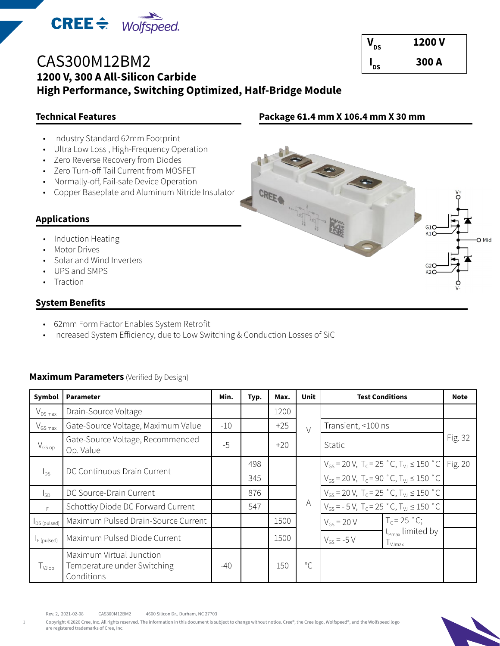

| CAS300M12BM2                                              |
|-----------------------------------------------------------|
| 1200 V, 300 A All-Silicon Carbide                         |
| High Performance, Switching Optimized, Half-Bridge Module |

# **Technical Features**

- Industry Standard 62mm Footprint
- Ultra Low Loss , High-Frequency Operation
- Zero Reverse Recovery from Diodes
- Zero Turn-off Tail Current from MOSFET
- Normally-off, Fail-safe Device Operation
- Copper Baseplate and Aluminum Nitride Insulator

# **Applications**

- Induction Heating
- Motor Drives
- Solar and Wind Inverters
- UPS and SMPS
- **Traction**

# **System Benefits**

- 62mm Form Factor Enables System Retrofit
- Increased System Efficiency, due to Low Switching & Conduction Losses of SiC

## **Maximum Parameters** (Verified By Design)

| Symbol              | <b>Parameter</b>                                                      | Min.  | Typ. | Max.  | Unit         | <b>Test Conditions</b>                                                           | <b>Note</b> |
|---------------------|-----------------------------------------------------------------------|-------|------|-------|--------------|----------------------------------------------------------------------------------|-------------|
| $V_{DS\,max}$       | Drain-Source Voltage                                                  |       |      | 1200  |              |                                                                                  |             |
| $V_{GS\,max}$       | Gate-Source Voltage, Maximum Value                                    | $-10$ |      | $+25$ | $\vee$       | Transient, <100 ns                                                               |             |
| $V_{GSp}$           | Gate-Source Voltage, Recommended<br>Op. Value                         | $-5$  |      | $+20$ |              | Static                                                                           | Fig. 32     |
|                     |                                                                       |       | 498  |       |              | $V_{GS}$ = 20 V, T <sub>c</sub> = 25 °C, T <sub>VJ</sub> $\leq$ 150 °C   Fig. 20 |             |
| $I_{DS}$            | DC Continuous Drain Current                                           |       | 345  |       |              | $V_{GS}$ = 20 V, T <sub>c</sub> = 90 °C, T <sub>VJ</sub> $\leq$ 150 °C           |             |
| lsp.                | DC Source-Drain Current                                               |       | 876  |       |              | $V_{GS}$ = 20 V, T <sub>c</sub> = 25 °C, T <sub>VJ</sub> $\leq$ 150 °C           |             |
| ΙĘ.                 | Schottky Diode DC Forward Current                                     |       | 547  |       | A            | $V_{GS}$ = - 5 V, T <sub>c</sub> = 25 °C, T <sub>VJ</sub> $\leq$ 150 °C          |             |
| $I_{DS (pulsed)}$   | Maximum Pulsed Drain-Source Current                                   |       |      | 1500  |              | $T_c = 25$ °C;<br>$V_{GS}$ = 20 V                                                |             |
| $I_F$ (pulsed)      | Maximum Pulsed Diode Current                                          |       |      | 1500  |              | $t_{\text{Pmax}}$ limited by<br>$V_{GS} = -5 V$<br>$T_{VJmax}$                   |             |
| $T_{VJ \text{ op}}$ | Maximum Virtual Junction<br>Temperature under Switching<br>Conditions | $-40$ |      | 150   | $^{\circ}$ C |                                                                                  |             |

Rev. 2, 2021-02-08 CAS300M12BM2 4600 Silicon Dr., Durham, NC 27703

Copyright ©2020 Cree, Inc. All rights reserved. The information in this document is subject to change without notice. Cree®, the Cree logo, Wolfspeed®, and the Wolfspeed logo are registered trademarks of Cree, Inc.

 $V_{\text{ns}}$  1200 V  $I_{\text{ns}}$  300 A



**Package 61.4 mm X 106.4 mm X 30 mm**

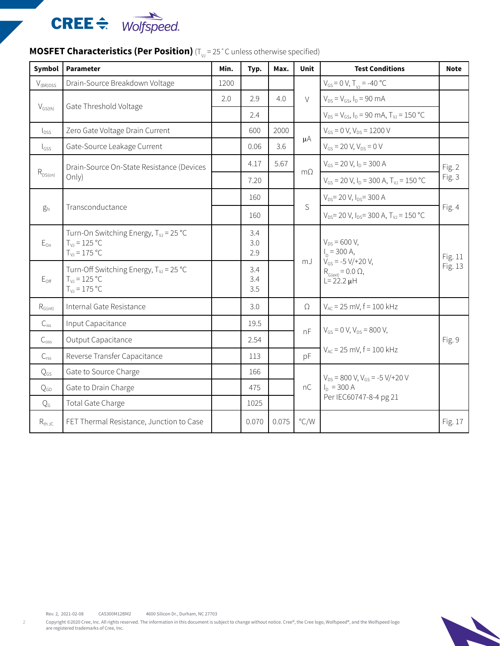

| Symbol               | <b>Parameter</b>                                                                             | Min. | Typ.              | Max.  | <b>Unit</b>    | <b>Test Conditions</b>                                                                                                | <b>Note</b>        |
|----------------------|----------------------------------------------------------------------------------------------|------|-------------------|-------|----------------|-----------------------------------------------------------------------------------------------------------------------|--------------------|
| $V_{\text{(BR)DSS}}$ | Drain-Source Breakdown Voltage                                                               | 1200 |                   |       |                | $V_{GS} = 0 V, T_{V1} = -40 °C$                                                                                       |                    |
| $V_{GS(th)}$         | Gate Threshold Voltage                                                                       | 2.0  | 2.9               | 4.0   | $\vee$         | $V_{DS} = V_{GS}$ , $I_D = 90$ mA                                                                                     |                    |
|                      |                                                                                              |      | 2.4               |       |                | $V_{DS} = V_{GS}$ , $I_D = 90$ mA, $T_{VJ} = 150$ °C                                                                  |                    |
| $I_{DSS}$            | Zero Gate Voltage Drain Current                                                              |      | 600               | 2000  |                | $V_{GS} = 0 V, V_{DS} = 1200 V$                                                                                       |                    |
| $I_{GSS}$            | Gate-Source Leakage Current                                                                  |      | 0.06              | 3.6   | $\mu A$        | $V_{GS}$ = 20 V, $V_{DS}$ = 0 V                                                                                       |                    |
|                      | Drain-Source On-State Resistance (Devices<br>Only)                                           |      | 4.17              | 5.67  | m <sub>O</sub> | $V_{GS}$ = 20 V, $I_D$ = 300 A                                                                                        | Fig. 2<br>Fig. 3   |
| $R_{\rm DS(on)}$     |                                                                                              |      | 7.20              |       |                | $V_{GS}$ = 20 V, $I_D$ = 300 A, $T_{VI}$ = 150 °C                                                                     |                    |
|                      |                                                                                              |      | 160               |       |                | $V_{DS}$ = 20 V, $I_{DS}$ = 300 A                                                                                     | Fig. 4             |
| $g_{fs}$             | Transconductance                                                                             |      | 160               |       | S              | $V_{DS}$ = 20 V, $I_{DS}$ = 300 A, $T_{VI}$ = 150 °C                                                                  |                    |
| $E_{\text{On}}$      | Turn-On Switching Energy, T <sub>vJ</sub> = 25 °C<br>$T_{V1} = 125 °C$<br>$T_{V1} = 175 °C$  |      | 3.4<br>3.0<br>2.9 |       | mJ             | $V_{DS}$ = 600 V,<br>$I_n = 300 A,$<br>$V_{GS}$ = -5 V/+20 V,<br>$R_{G(\text{ext})} = 0.0 \Omega$<br>$L = 22.2 \mu H$ | Fig. 11<br>Fig. 13 |
| $E_{\text{Off}}$     | Turn-Off Switching Energy, T <sub>vJ</sub> = 25 °C<br>$T_{V1} = 125 °C$<br>$T_{V1} = 175 °C$ |      | 3.4<br>3.4<br>3.5 |       |                |                                                                                                                       |                    |
| $R_{G(int)}$         | Internal Gate Resistance                                                                     |      | 3.0               |       | $\Omega$       | $V_{AC}$ = 25 mV, f = 100 kHz                                                                                         |                    |
| $C_{iss}$            | Input Capacitance                                                                            |      | 19.5              |       |                |                                                                                                                       |                    |
| $C_{\text{oss}}$     | Output Capacitance                                                                           |      | 2.54              |       | nF             | $V_{GS}$ = 0 V, $V_{DS}$ = 800 V,                                                                                     | Fig. 9             |
| $C_{rss}$            | Reverse Transfer Capacitance                                                                 |      | 113               |       | pF             | $V_{AC}$ = 25 mV, $f = 100$ kHz                                                                                       |                    |
| $Q_{GS}$             | Gate to Source Charge                                                                        |      | 166               |       |                | $V_{DS}$ = 800 V, $V_{GS}$ = -5 V/+20 V                                                                               |                    |
| $Q_{GD}$             | Gate to Drain Charge                                                                         |      | 475               |       | nC             | $I_D = 300 A$                                                                                                         |                    |
| Q <sub>G</sub>       | Total Gate Charge                                                                            |      | 1025              |       |                | Per IEC60747-8-4 pg 21                                                                                                |                    |
| $R_{th,JC}$          | FET Thermal Resistance, Junction to Case                                                     |      | 0.070             | 0.075 | $\degree$ C/W  |                                                                                                                       | Fig. 17            |

# **MOSFET Characteristics (Per Position)** (T<sub>VJ</sub> = 25<sup>°</sup>C unless otherwise specified)

Rev. 2, 2021-02-08 CAS300M12BM2 4600 Silicon Dr., Durham, NC 27703

Copyright ©2020 Cree, Inc. All rights reserved. The information in this document is subject to change without notice. Cree®, the Cree logo, Wolfspeed®, and the Wolfspeed logo<br>are registered trademarks of Cree, Inc.

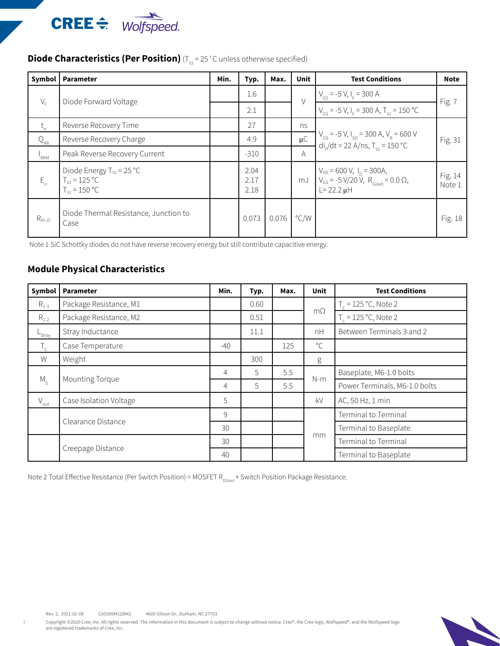

# **Diode Characteristics (Per Position)** (T<sub>VJ</sub> = 25 °C unless otherwise specified)

| Symbol      | <b>Parameter</b>                                                        | Min. | Typ.                 | Max.  | <b>Unit</b>   | <b>Test Conditions</b>                                                                                                    | <b>Note</b>       |
|-------------|-------------------------------------------------------------------------|------|----------------------|-------|---------------|---------------------------------------------------------------------------------------------------------------------------|-------------------|
| $V_F$       | Diode Forward Voltage                                                   |      | 1.6                  |       | $\vee$        | $V_{GS}$ = -5 V, I <sub>F</sub> = 300 A                                                                                   |                   |
|             |                                                                         |      | 2.1                  |       |               | $V_{cs}$ = -5 V, I <sub>F</sub> = 300 A, T <sub>VI</sub> = 150 °C                                                         | Fig. 7            |
| $L_{rr}$    | Reverse Recovery Time                                                   |      | 27                   |       | ns            |                                                                                                                           | Fig. 31           |
| $Q_{RR}$    | Reverse Recovery Charge                                                 |      | 4.9                  |       | $\mu$ C       | $\begin{cases} V_{GS} = -5 V, I_{SD} = 300 A, V_R = 600 V, \ \frac{di}{d} / dt = 22 A / ns, T_{Vl} = 150 °C. \end{cases}$ |                   |
| $I_{RRM}$   | Peak Reverse Recovery Current                                           |      | $-310$               |       | A             |                                                                                                                           |                   |
| $E_{rr}$    | Diode Energy $T_{VJ}$ = 25 °C<br>$T_{VJ}$ = 125 °C<br>$T_{V1} = 150 °C$ |      | 2.04<br>2.17<br>2.18 |       | mJ            | $V_{DS}$ = 600 V, $I_{D}$ = 300A,<br>$V_{GS}$ = -5 V/20 V, R <sub>G(ext)</sub> = 0.0 $\Omega$ ,<br>$L = 22.2 \mu H$       | Fig. 14<br>Note 1 |
| $R_{th,JC}$ | Diode Thermal Resistance, Junction to<br>Case                           |      | 0.073                | 0.076 | $\degree$ C/W |                                                                                                                           | Fig. 18           |

Note 1 SiC Schottky diodes do not have reverse recovery energy but still contribute capacitive energy.

# **Module Physical Characteristics**

| Symbol         | <b>Parameter</b>       | Min.  | Typ. | Max. | <b>Unit</b>  | <b>Test Conditions</b>        |
|----------------|------------------------|-------|------|------|--------------|-------------------------------|
| $R_{1-3}$      | Package Resistance, M1 |       | 0.60 |      |              | $T_c = 125 °C$ , Note 2       |
| $R_{1-2}$      | Package Resistance, M2 |       | 0.51 |      | $m\Omega$    | $T_c = 125 °C$ , Note 2       |
| L<br>Stray     | Stray Inductance       |       | 11.1 |      | nH           | Between Terminals 3 and 2     |
| $T_c$          | Case Temperature       | $-40$ |      | 125  | $^{\circ}$ C |                               |
| W              | Weight                 |       | 300  |      | g            |                               |
|                | Mounting Torque        | 4     | 5    | 5.5  | $N-m$        | Baseplate, M6-1.0 bolts       |
| $M_{\rm c}$    |                        | 4     | 5    | 5.5  |              | Power Terminals, M6-1.0 bolts |
| $V_{\sf isol}$ | Case Isolation Voltage | 5     |      |      | kV           | AC, 50 Hz, 1 min              |
|                | Clearance Distance     | 9     |      |      | mm           | Terminal to Terminal          |
|                |                        | 30    |      |      |              | Terminal to Baseplate         |
|                | Creepage Distance      | 30    |      |      |              | Terminal to Terminal          |
|                |                        | 40    |      |      |              | Terminal to Baseplate         |

Note 2 Total Effective Resistance (Per Switch Position) = MOSFET  $R_{DS(on)}$  + Switch Position Package Resistance.

3

Copyright @2020 Cree, Inc. All rights reserved. The information in this document is subject to change without notice. Cree®, the Cree logo, Wolfspeed®, and the Wolfspeed logo are registered trademarks of Cree, Inc.

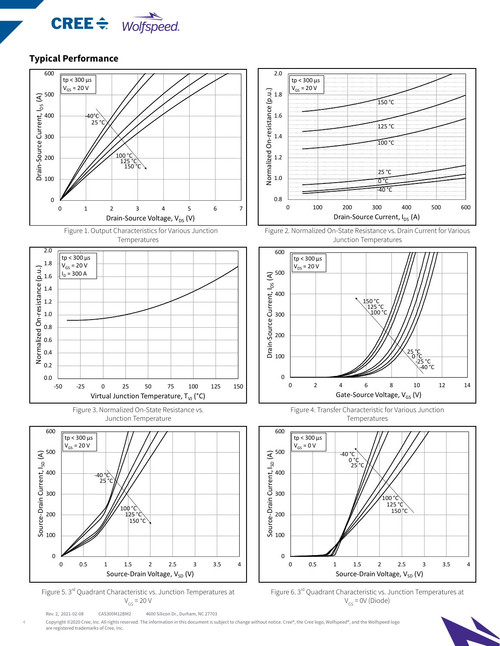





-50 -25 0 25 50 75 100 125 150

Virtual Junction Temperature,  $T_{VI}$  (°C)





Rev. 2, 2021-02-08 CAS300M12BM2 4600 Silicon Dr., Durham, NC 27703



Figure 2. Normalized On-State Resistance vs. Drain Current for Various Junction Temperatures



Figure 4. Transfer Characteristic for Various Junction Temperatures



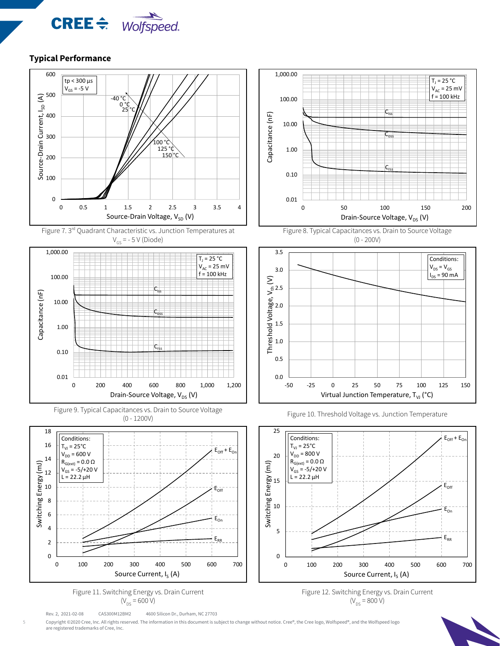











Rev. 2, 2021-02-08 CAS300M12BM2 4600 Silicon Dr., Durham, NC 27703











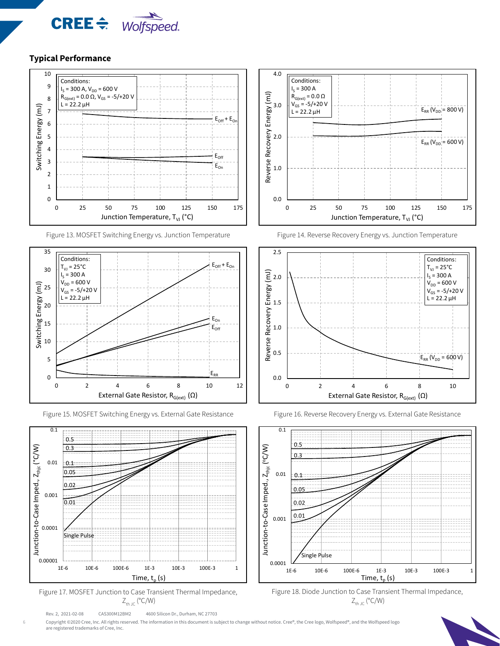



Figure 13. MOSFET Switching Energy vs. Junction Temperature



Figure 15. MOSFET Switching Energy vs. External Gate Resistance Figure 16. Reverse Recovery Energy vs. External Gate Resistance





Rev. 2, 2021-02-08 CAS300M12BM2 4600 Silicon Dr., Durham, NC 27703



Figure 14. Reverse Recovery Energy vs. Junction Temperature







Copyright ©2020 Cree, Inc. All rights reserved. The information in this document is subject to change without notice. Cree®, the Cree logo, Wolfspeed®, and the Wolfspeed logo are registered trademarks of Cree, Inc.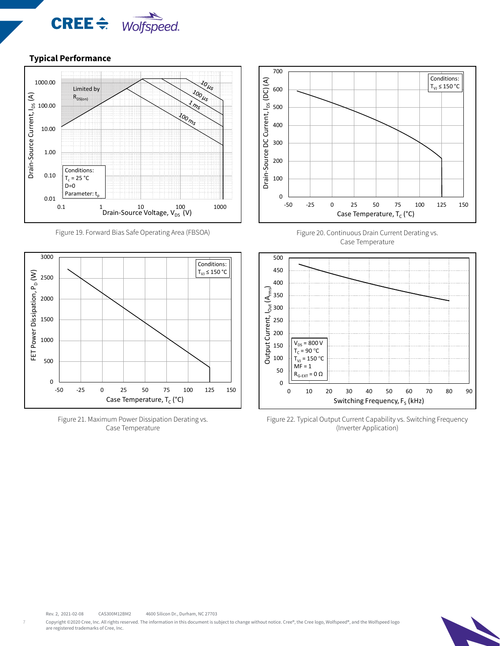



Figure 19. Forward Bias Safe Operating Area (FBSOA)



Figure 21. Maximum Power Dissipation Derating vs. Case Temperature







Figure 22. Typical Output Current Capability vs. Switching Frequency (Inverter Application)

Copyright @2020 Cree, Inc. All rights reserved. The information in this document is subject to change without notice. Cree®, the Cree logo, Wolfspeed®, and the Wolfspeed logo are registered trademarks of Cree, Inc.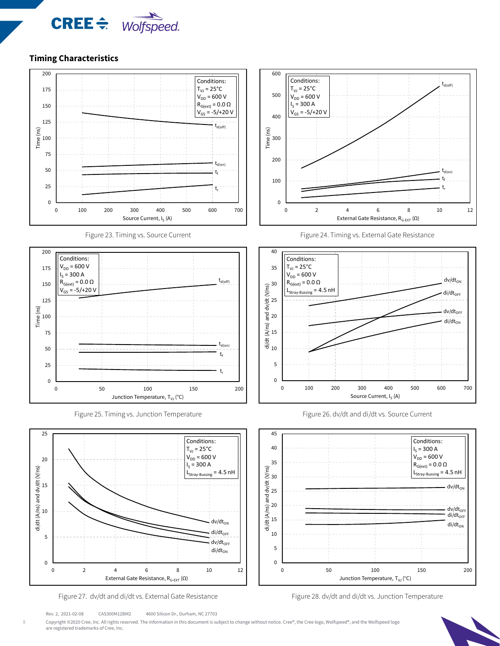

#### **Timing Characteristics**



Figure 23. Timing vs. Source Current









Figure 24. Timing vs. External Gate Resistance







Rev. 2, 2021-02-08 CAS300M12BM2 4600 Silicon Dr., Durham, NC 27703

Copyright @2020 Cree, Inc. All rights reserved. The information in this document is subject to change without notice. Cree®, the Cree logo, Wolfspeed®, and the Wolfspeed logo are registered trademarks of Cree, Inc.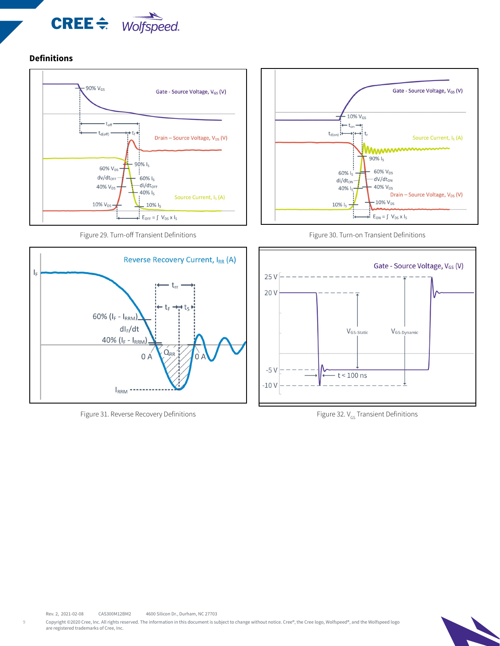

#### **Definitions**



Figure 29. Turn-off Transient Definitions



Figure 31. Reverse Recovery Definitions  $\overline{F}$  Figure 32. V<sub>GS</sub> Transient Definitions







Copyright @2020 Cree, Inc. All rights reserved. The information in this document is subject to change without notice. Cree®, the Cree logo, Wolfspeed®, and the Wolfspeed logo are registered trademarks of Cree, Inc.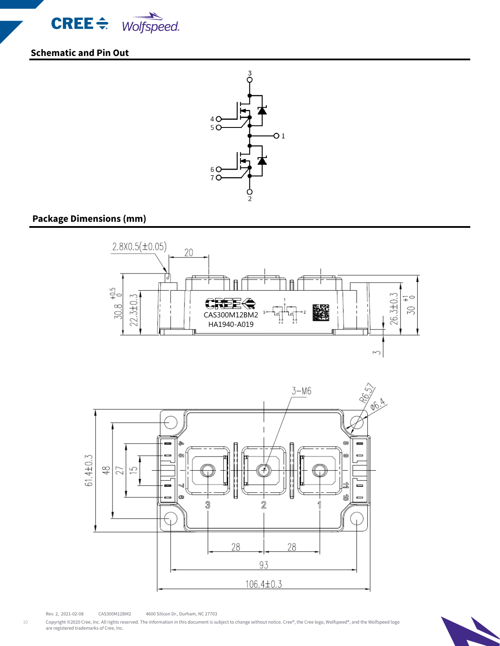

**Schematic and Pin Out**



# **Package Dimensions (mm)**



Rev. 2, 2021-02-08 CAS300M12BM2 4600 Silicon Dr., Durham, NC 27703

10

Copyright ©2020 Cree, Inc. All rights reserved. The information in this document is subject to change without notice. Cree®, the Cree logo, Wolfspeed®, and the Wolfspeed logo<br>are registered trademarks of Cree, Inc.